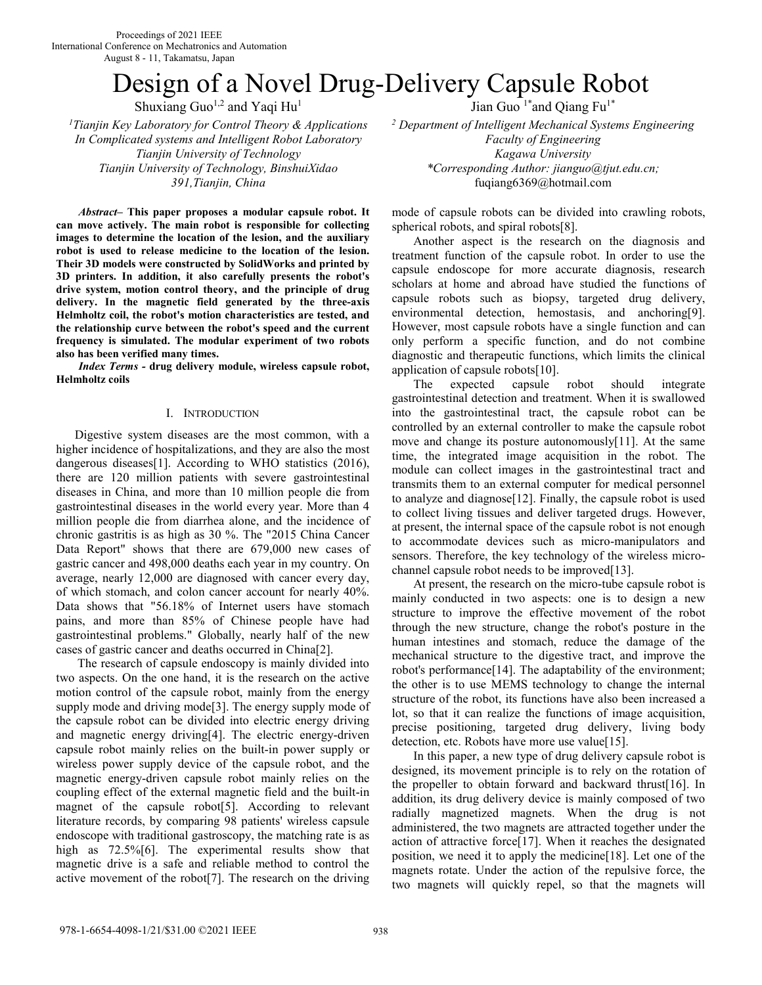# Design of a Novel Drug-Delivery Capsule Robot

Shuxiang Guo<sup>1,2</sup> and Yaqi Hu<sup>1</sup>

*<sup>1</sup>Tianjin Key Laboratory for Control Theory & Applications In Complicated systems and Intelligent Robot Laboratory Tianjin University of Technology Kagawa University Tianjin University of Technology, BinshuiXidao \*Corresponding Author: jianguo@tjut.edu.cn;* 

*Abstract***– This paper proposes a modular capsule robot. It can move actively. The main robot is responsible for collecting images to determine the location of the lesion, and the auxiliary robot is used to release medicine to the location of the lesion. Their 3D models were constructed by SolidWorks and printed by 3D printers. In addition, it also carefully presents the robot's drive system, motion control theory, and the principle of drug delivery. In the magnetic field generated by the three-axis Helmholtz coil, the robot's motion characteristics are tested, and the relationship curve between the robot's speed and the current frequency is simulated. The modular experiment of two robots also has been verified many times.** 

*Index Terms -* **drug delivery module, wireless capsule robot, Helmholtz coils** 

## I. INTRODUCTION

Digestive system diseases are the most common, with a higher incidence of hospitalizations, and they are also the most dangerous diseases[1]. According to WHO statistics (2016), there are 120 million patients with severe gastrointestinal diseases in China, and more than 10 million people die from gastrointestinal diseases in the world every year. More than 4 million people die from diarrhea alone, and the incidence of chronic gastritis is as high as 30 %. The "2015 China Cancer Data Report" shows that there are 679,000 new cases of gastric cancer and 498,000 deaths each year in my country. On average, nearly 12,000 are diagnosed with cancer every day, of which stomach, and colon cancer account for nearly 40%. Data shows that "56.18% of Internet users have stomach pains, and more than 85% of Chinese people have had gastrointestinal problems." Globally, nearly half of the new cases of gastric cancer and deaths occurred in China[2].

The research of capsule endoscopy is mainly divided into two aspects. On the one hand, it is the research on the active motion control of the capsule robot, mainly from the energy supply mode and driving mode<sup>[3]</sup>. The energy supply mode of the capsule robot can be divided into electric energy driving and magnetic energy driving[4]. The electric energy-driven capsule robot mainly relies on the built-in power supply or wireless power supply device of the capsule robot, and the magnetic energy-driven capsule robot mainly relies on the coupling effect of the external magnetic field and the built-in magnet of the capsule robot[5]. According to relevant literature records, by comparing 98 patients' wireless capsule endoscope with traditional gastroscopy, the matching rate is as high as 72.5%[6]. The experimental results show that magnetic drive is a safe and reliable method to control the active movement of the robot[7]. The research on the driving

Jian Guo<sup>1\*</sup>and Qiang Fu<sup>1\*</sup>

*2 Department of Intelligent Mechanical Systems Engineering Faculty of Engineering 391,Tianjin, China* fuqiang6369@hotmail.com

> mode of capsule robots can be divided into crawling robots, spherical robots, and spiral robots[8].

> Another aspect is the research on the diagnosis and treatment function of the capsule robot. In order to use the capsule endoscope for more accurate diagnosis, research scholars at home and abroad have studied the functions of capsule robots such as biopsy, targeted drug delivery, environmental detection, hemostasis, and anchoring[9]. However, most capsule robots have a single function and can only perform a specific function, and do not combine diagnostic and therapeutic functions, which limits the clinical application of capsule robots[10].

> The expected capsule robot should integrate gastrointestinal detection and treatment. When it is swallowed into the gastrointestinal tract, the capsule robot can be controlled by an external controller to make the capsule robot move and change its posture autonomously[11]. At the same time, the integrated image acquisition in the robot. The module can collect images in the gastrointestinal tract and transmits them to an external computer for medical personnel to analyze and diagnose[12]. Finally, the capsule robot is used to collect living tissues and deliver targeted drugs. However, at present, the internal space of the capsule robot is not enough to accommodate devices such as micro-manipulators and sensors. Therefore, the key technology of the wireless microchannel capsule robot needs to be improved[13].

> At present, the research on the micro-tube capsule robot is mainly conducted in two aspects: one is to design a new structure to improve the effective movement of the robot through the new structure, change the robot's posture in the human intestines and stomach, reduce the damage of the mechanical structure to the digestive tract, and improve the robot's performance<sup>[14]</sup>. The adaptability of the environment; the other is to use MEMS technology to change the internal structure of the robot, its functions have also been increased a lot, so that it can realize the functions of image acquisition, precise positioning, targeted drug delivery, living body detection, etc. Robots have more use value[15].

> In this paper, a new type of drug delivery capsule robot is designed, its movement principle is to rely on the rotation of the propeller to obtain forward and backward thrust[16]. In addition, its drug delivery device is mainly composed of two radially magnetized magnets. When the drug is not administered, the two magnets are attracted together under the action of attractive force[17]. When it reaches the designated position, we need it to apply the medicine[18]. Let one of the magnets rotate. Under the action of the repulsive force, the two magnets will quickly repel, so that the magnets will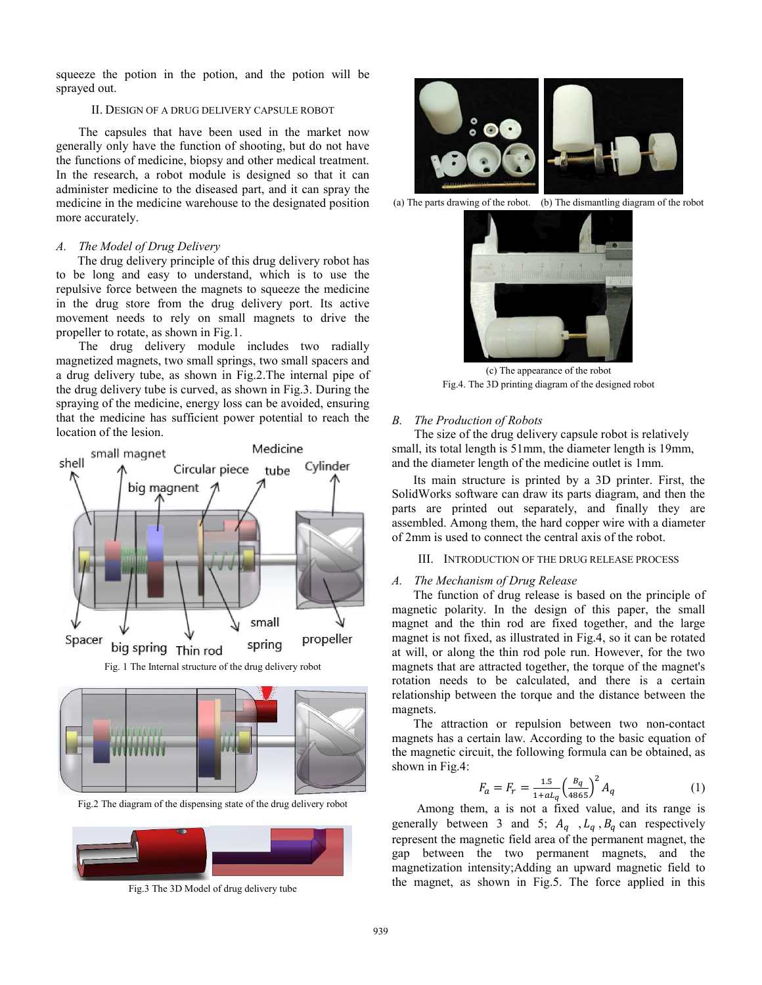squeeze the potion in the potion, and the potion will be sprayed out.

# II. DESIGN OF A DRUG DELIVERY CAPSULE ROBOT

 The capsules that have been used in the market now generally only have the function of shooting, but do not have the functions of medicine, biopsy and other medical treatment. In the research, a robot module is designed so that it can administer medicine to the diseased part, and it can spray the medicine in the medicine warehouse to the designated position more accurately.

## *A. The Model of Drug Delivery*

The drug delivery principle of this drug delivery robot has to be long and easy to understand, which is to use the repulsive force between the magnets to squeeze the medicine in the drug store from the drug delivery port. Its active movement needs to rely on small magnets to drive the propeller to rotate, as shown in Fig.1.

 The drug delivery module includes two radially magnetized magnets, two small springs, two small spacers and a drug delivery tube, as shown in Fig.2.The internal pipe of the drug delivery tube is curved, as shown in Fig.3. During the spraying of the medicine, energy loss can be avoided, ensuring that the medicine has sufficient power potential to reach the location of the lesion.



Fig. 1 The Internal structure of the drug delivery robot



Fig.2 The diagram of the dispensing state of the drug delivery robot



Fig.3 The 3D Model of drug delivery tube



(a) The parts drawing of the robot. (b) The dismantling diagram of the robot



(c) The appearance of the robot Fig.4. The 3D printing diagram of the designed robot

#### *B. The Production of Robots*

 The size of the drug delivery capsule robot is relatively small, its total length is 51mm, the diameter length is 19mm, and the diameter length of the medicine outlet is 1mm.

Its main structure is printed by a 3D printer. First, the SolidWorks software can draw its parts diagram, and then the parts are printed out separately, and finally they are assembled. Among them, the hard copper wire with a diameter of 2mm is used to connect the central axis of the robot.

III. INTRODUCTION OF THE DRUG RELEASE PROCESS

### *A. The Mechanism of Drug Release*

The function of drug release is based on the principle of magnetic polarity. In the design of this paper, the small magnet and the thin rod are fixed together, and the large magnet is not fixed, as illustrated in Fig.4, so it can be rotated at will, or along the thin rod pole run. However, for the two magnets that are attracted together, the torque of the magnet's rotation needs to be calculated, and there is a certain relationship between the torque and the distance between the magnets.

The attraction or repulsion between two non-contact magnets has a certain law. According to the basic equation of the magnetic circuit, the following formula can be obtained, as shown in Fig.4:

$$
F_a = F_r = \frac{1.5}{1 + aL_q} \left(\frac{B_q}{4865}\right)^2 A_q \tag{1}
$$

Among them, a is not a fixed value, and its range is generally between 3 and 5;  $A_q$ ,  $L_q$ ,  $B_q$  can respectively represent the magnetic field area of the permanent magnet, the gap between the two permanent magnets, and the magnetization intensity;Adding an upward magnetic field to the magnet, as shown in Fig.5. The force applied in this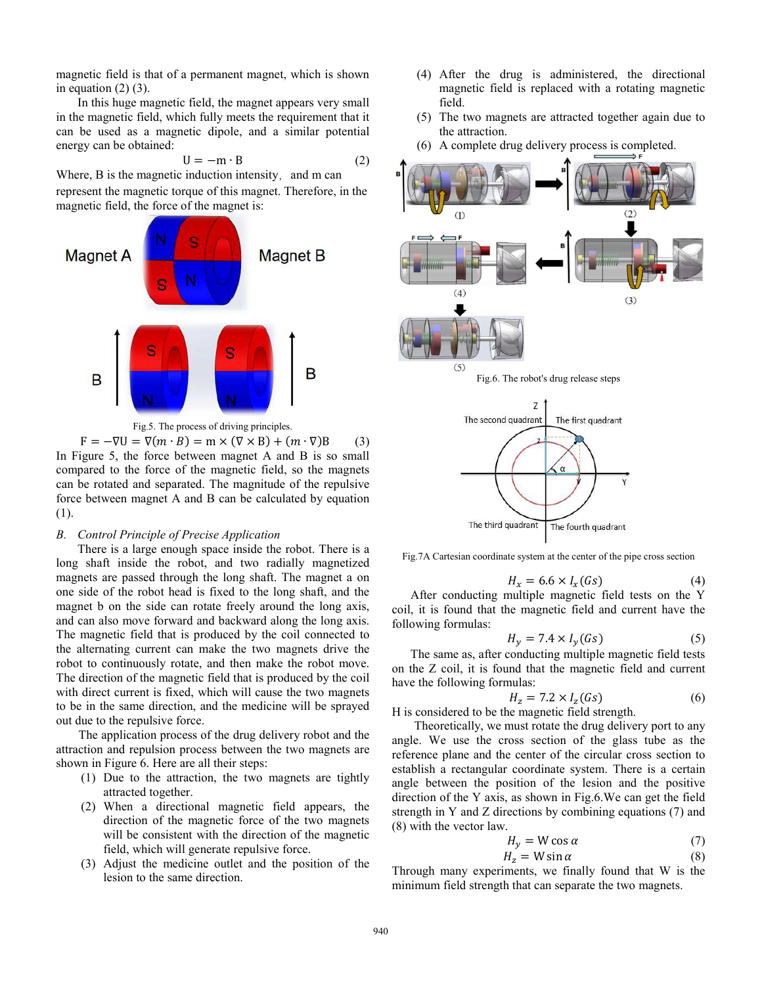magnetic field is that of a permanent magnet, which is shown in equation  $(2)$   $(3)$ .

 In this huge magnetic field, the magnet appears very small in the magnetic field, which fully meets the requirement that it can be used as a magnetic dipole, and a similar potential energy can be obtained:

$$
U = -m \cdot B \tag{2}
$$

Where,  $\bf{B}$  is the magnetic induction intensity, and m can represent the magnetic torque of this magnet. Therefore, in the magnetic field, the force of the magnet is:



Fig.5. The process of driving principles.

 $F = -\nabla U = \nabla (m \cdot B) = m \times (\nabla \times B) + (m \cdot \nabla)B$  (3) In Figure 5, the force between magnet A and B is so small compared to the force of the magnetic field, so the magnets can be rotated and separated. The magnitude of the repulsive force between magnet A and B can be calculated by equation (1).

## *B. Control Principle of Precise Application*

There is a large enough space inside the robot. There is a long shaft inside the robot, and two radially magnetized magnets are passed through the long shaft. The magnet a on one side of the robot head is fixed to the long shaft, and the magnet b on the side can rotate freely around the long axis, and can also move forward and backward along the long axis. The magnetic field that is produced by the coil connected to the alternating current can make the two magnets drive the robot to continuously rotate, and then make the robot move. The direction of the magnetic field that is produced by the coil with direct current is fixed, which will cause the two magnets to be in the same direction, and the medicine will be sprayed out due to the repulsive force.

 The application process of the drug delivery robot and the attraction and repulsion process between the two magnets are shown in Figure 6. Here are all their steps:

- (1) Due to the attraction, the two magnets are tightly attracted together.
- (2) When a directional magnetic field appears, the direction of the magnetic force of the two magnets will be consistent with the direction of the magnetic field, which will generate repulsive force.
- (3) Adjust the medicine outlet and the position of the lesion to the same direction.
- (4) After the drug is administered, the directional magnetic field is replaced with a rotating magnetic field.
- (5) The two magnets are attracted together again due to the attraction.
- (6) A complete drug delivery process is completed.





Fig.7A Cartesian coordinate system at the center of the pipe cross section

$$
H_x = 6.6 \times I_x(Gs) \tag{4}
$$

After conducting multiple magnetic field tests on the Y coil, it is found that the magnetic field and current have the following formulas:

$$
H_y = 7.4 \times I_y(Gs) \tag{5}
$$

The same as, after conducting multiple magnetic field tests on the Z coil, it is found that the magnetic field and current have the following formulas:

$$
H_z = 7.2 \times I_z(Gs)
$$
 (6)  
the magnetic field strength

H is considered to be the magnetic field strength.

 Theoretically, we must rotate the drug delivery port to any angle. We use the cross section of the glass tube as the reference plane and the center of the circular cross section to establish a rectangular coordinate system. There is a certain angle between the position of the lesion and the positive direction of the Y axis, as shown in Fig.6.We can get the field strength in Y and Z directions by combining equations (7) and (8) with the vector law.

$$
H_y = W \cos \alpha \tag{7}
$$

$$
H_z = W \sin \alpha \tag{8}
$$

Through many experiments, we finally found that W is the minimum field strength that can separate the two magnets.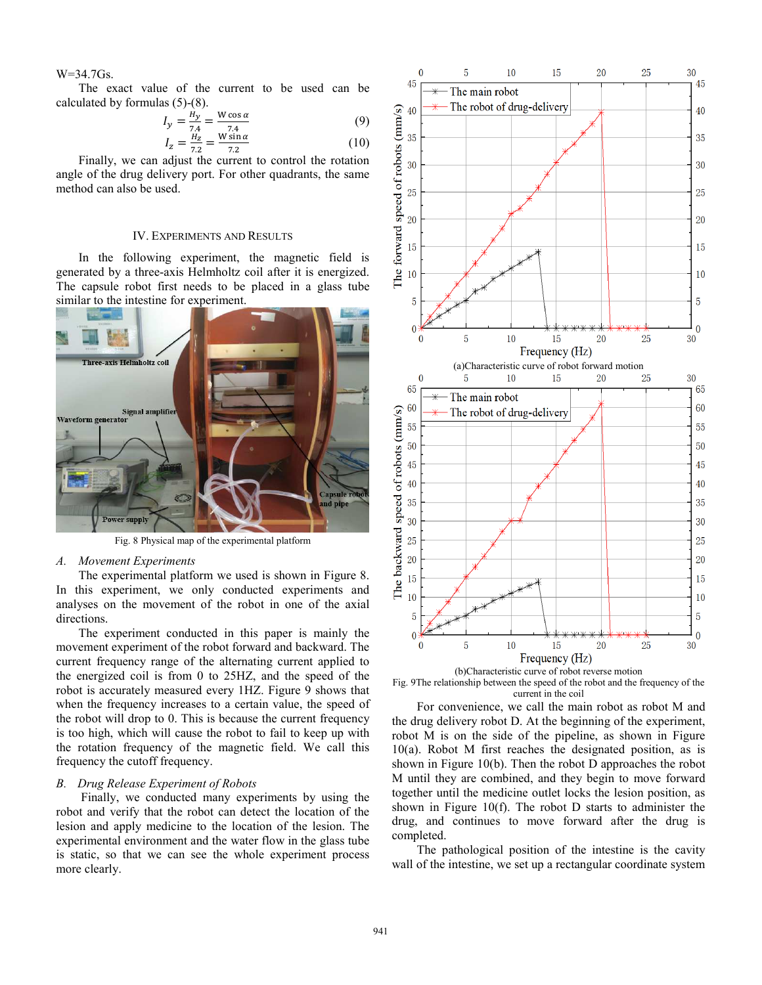W=34.7Gs.

 The exact value of the current to be used can be calculated by formulas (5)-(8).

$$
I_y = \frac{H_y}{7.4} = \frac{W \cos \alpha}{7.4}
$$
  
\n
$$
I_z = \frac{H_z}{7.2} = \frac{W \sin \alpha}{7.2}
$$
 (9)

Finally, we can adjust the current to control the rotation angle of the drug delivery port. For other quadrants, the same method can also be used.

## IV. EXPERIMENTS AND RESULTS

 In the following experiment, the magnetic field is generated by a three-axis Helmholtz coil after it is energized. The capsule robot first needs to be placed in a glass tube similar to the intestine for experiment.



Fig. 8 Physical map of the experimental platform

#### *A. Movement Experiments*

 The experimental platform we used is shown in Figure 8. In this experiment, we only conducted experiments and analyses on the movement of the robot in one of the axial directions.

 The experiment conducted in this paper is mainly the movement experiment of the robot forward and backward. The current frequency range of the alternating current applied to the energized coil is from 0 to 25HZ, and the speed of the robot is accurately measured every 1HZ. Figure 9 shows that when the frequency increases to a certain value, the speed of the robot will drop to 0. This is because the current frequency is too high, which will cause the robot to fail to keep up with the rotation frequency of the magnetic field. We call this frequency the cutoff frequency.

## *B. Drug Release Experiment of Robots*

Finally, we conducted many experiments by using the robot and verify that the robot can detect the location of the lesion and apply medicine to the location of the lesion. The experimental environment and the water flow in the glass tube is static, so that we can see the whole experiment process more clearly.



(b)Characteristic curve of robot reverse motion Fig. 9The relationship between the speed of the robot and the frequency of the current in the coil

For convenience, we call the main robot as robot M and the drug delivery robot D. At the beginning of the experiment, robot M is on the side of the pipeline, as shown in Figure 10(a). Robot M first reaches the designated position, as is shown in Figure 10(b). Then the robot D approaches the robot M until they are combined, and they begin to move forward together until the medicine outlet locks the lesion position, as shown in Figure 10(f). The robot D starts to administer the drug, and continues to move forward after the drug is completed.

The pathological position of the intestine is the cavity wall of the intestine, we set up a rectangular coordinate system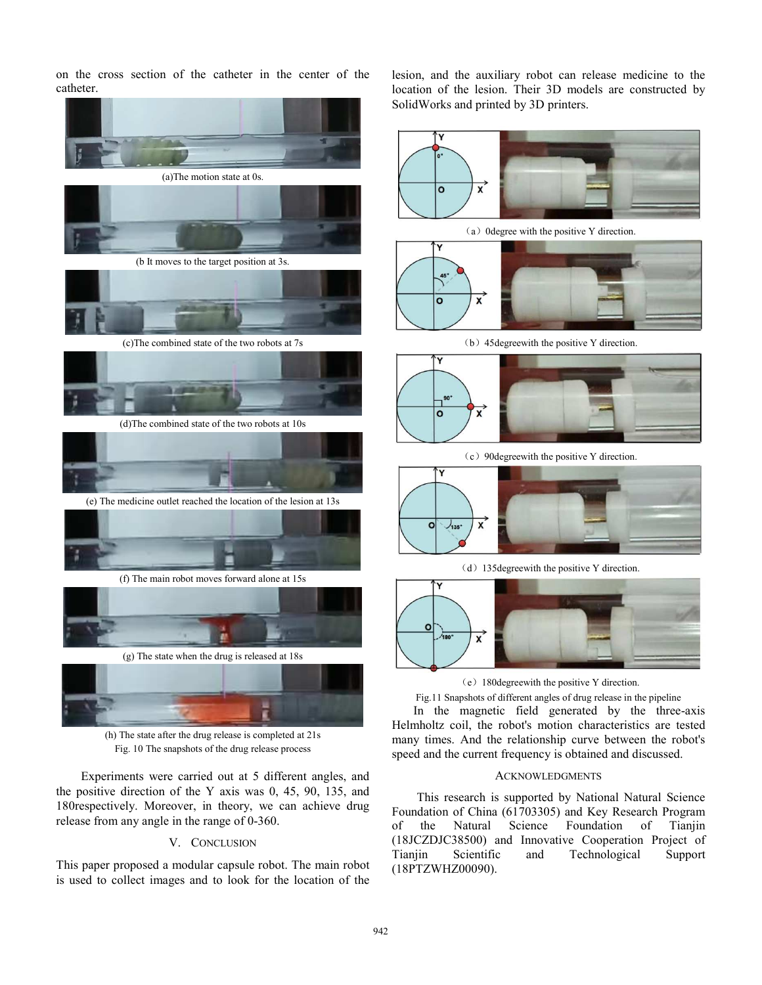on the cross section of the catheter in the center of the catheter.



(h) The state after the drug release is completed at 21s Fig. 10 The snapshots of the drug release process

Experiments were carried out at 5 different angles, and the positive direction of the Y axis was 0, 45, 90, 135, and 180respectively. Moreover, in theory, we can achieve drug release from any angle in the range of 0-360.

# V. CONCLUSION

This paper proposed a modular capsule robot. The main robot is used to collect images and to look for the location of the lesion, and the auxiliary robot can release medicine to the location of the lesion. Their 3D models are constructed by SolidWorks and printed by 3D printers.



(a) 0degree with the positive Y direction.



(b) 45 degreewith the positive Y direction.



(c)90degreewith the positive Y direction.



(d) 135degreewith the positive Y direction.



(e)180degreewith the positive Y direction.

Fig.11 Snapshots of different angles of drug release in the pipeline

In the magnetic field generated by the three-axis Helmholtz coil, the robot's motion characteristics are tested many times. And the relationship curve between the robot's speed and the current frequency is obtained and discussed.

# ACKNOWLEDGMENTS

This research is supported by National Natural Science Foundation of China (61703305) and Key Research Program of the Natural Science Foundation of Tianjin (18JCZDJC38500) and Innovative Cooperation Project of Tianjin Scientific and Technological Support (18PTZWHZ00090).